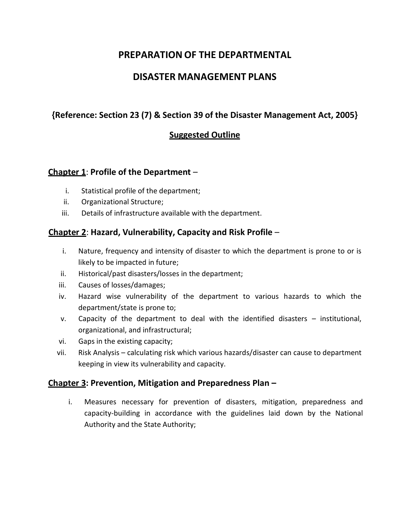# **PREPARATION OF THE DEPARTMENTAL**

# **DISASTER MANAGEMENT PLANS**

# **{Reference: Section 23 (7) & Section 39 of the Disaster Management Act, 2005}**

# **Suggested Outline**

### **Chapter 1**: **Profile of the Department** –

- i. Statistical profile of the department;
- ii. Organizational Structure;
- iii. Details of infrastructure available with the department.

## **Chapter 2**: **Hazard, Vulnerability, Capacity and Risk Profile** –

- i. Nature, frequency and intensity of disaster to which the department is prone to or is likely to be impacted in future;
- ii. Historical/past disasters/losses in the department;
- iii. Causes of losses/damages;
- iv. Hazard wise vulnerability of the department to various hazards to which the department/state is prone to;
- v. Capacity of the department to deal with the identified disasters institutional, organizational, and infrastructural;
- vi. Gaps in the existing capacity;
- vii. Risk Analysis calculating risk which various hazards/disaster can cause to department keeping in view its vulnerability and capacity.

### **Chapter 3: Prevention, Mitigation and Preparedness Plan –**

i. Measures necessary for prevention of disasters, mitigation, preparedness and capacity-building in accordance with the guidelines laid down by the National Authority and the State Authority;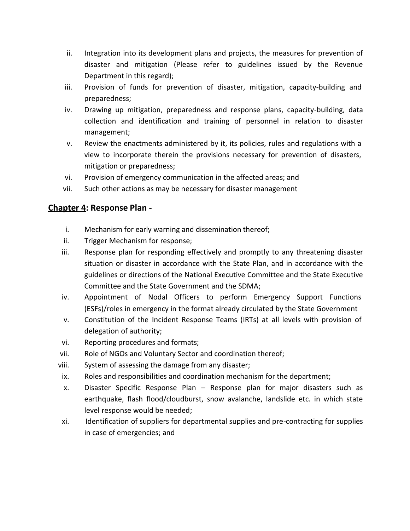- ii. Integration into its development plans and projects, the measures for prevention of disaster and mitigation (Please refer to guidelines issued by the Revenue Department in this regard);
- iii. Provision of funds for prevention of disaster, mitigation, capacity-building and preparedness;
- iv. Drawing up mitigation, preparedness and response plans, capacity-building, data collection and identification and training of personnel in relation to disaster management;
- v. Review the enactments administered by it, its policies, rules and regulations with a view to incorporate therein the provisions necessary for prevention of disasters, mitigation or preparedness;
- vi. Provision of emergency communication in the affected areas; and
- vii. Such other actions as may be necessary for disaster management

## **Chapter 4: Response Plan -**

- i. Mechanism for early warning and dissemination thereof;
- ii. Trigger Mechanism for response;
- iii. Response plan for responding effectively and promptly to any threatening disaster situation or disaster in accordance with the State Plan, and in accordance with the guidelines or directions of the National Executive Committee and the State Executive Committee and the State Government and the SDMA;
- iv. Appointment of Nodal Officers to perform Emergency Support Functions (ESFs)/roles in emergency in the format already circulated by the State Government
- v. Constitution of the Incident Response Teams (IRTs) at all levels with provision of delegation of authority;
- vi. Reporting procedures and formats;
- vii. Role of NGOs and Voluntary Sector and coordination thereof;
- viii. System of assessing the damage from any disaster;
- ix. Roles and responsibilities and coordination mechanism for the department;
- x. Disaster Specific Response Plan Response plan for major disasters such as earthquake, flash flood/cloudburst, snow avalanche, landslide etc. in which state level response would be needed;
- xi. Identification of suppliers for departmental supplies and pre-contracting for supplies in case of emergencies; and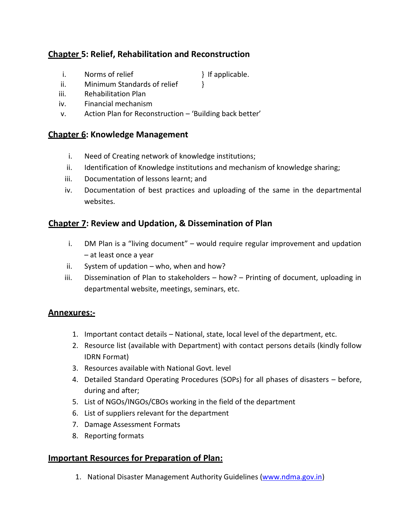# **Chapter 5: Relief, Rehabilitation and Reconstruction**

- i. Norms of relief } If applicable.
- ii. Minimum Standards of relief
- iii. Rehabilitation Plan
- iv. Financial mechanism
- v. Action Plan for Reconstruction 'Building back better'

### **Chapter 6: Knowledge Management**

- i. Need of Creating network of knowledge institutions;
- ii. Identification of Knowledge institutions and mechanism of knowledge sharing;
- iii. Documentation of lessons learnt; and
- iv. Documentation of best practices and uploading of the same in the departmental websites.

## **Chapter 7: Review and Updation, & Dissemination of Plan**

- i. DM Plan is a "living document"  $-$  would require regular improvement and updation – at least once a year
- ii. System of updation who, when and how?
- iii. Dissemination of Plan to stakeholders how? Printing of document, uploading in departmental website, meetings, seminars, etc.

### **Annexures:-**

- 1. Important contact details National, state, local level of the department, etc.
- 2. Resource list (available with Department) with contact persons details (kindly follow IDRN Format)
- 3. Resources available with National Govt. level
- 4. Detailed Standard Operating Procedures (SOPs) for all phases of disasters before, during and after;
- 5. List of NGOs/INGOs/CBOs working in the field of the department
- 6. List of suppliers relevant for the department
- 7. Damage Assessment Formats
- 8. Reporting formats

### **Important Resources for Preparation of Plan:**

1. National Disaster Management Authority Guidelines (www.ndma.gov.in)